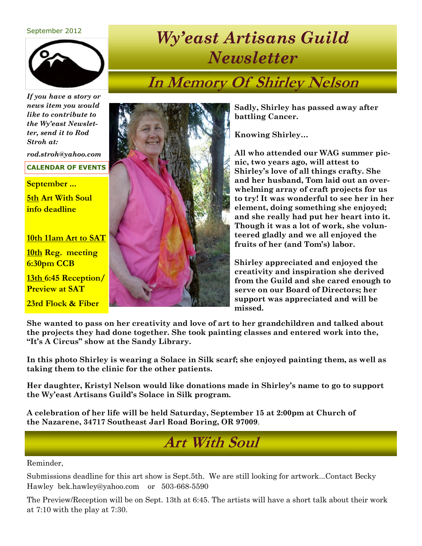#### September 2012



*If you have a story or news item you would like to contribute to the Wy'east Newsletter, send it to Rod Stroh at:*

*rod.stroh@yahoo.com* 

#### **CALENDAR OF EVENTS**

**September ...**

**5th Art With Soul info deadline**

**10th 11am Art to SAT**

**10th Reg. meeting 6:30pm CCB**

**13th 6:45 Reception/ Preview at SAT**

**23rd Flock & Fiber**



# *Wy'east Artisans Guild Newsletter*

# **In Memory Of Shirley Nelson**

**Sadly, Shirley has passed away after battling Cancer.** 

**Knowing Shirley…**

**All who attended our WAG summer picnic, two years ago, will attest to Shirley's love of all things crafty. She and her husband, Tom laid out an overwhelming array of craft projects for us to try! It was wonderful to see her in her element, doing something she enjoyed; and she really had put her heart into it. Though it was a lot of work, she volunteered gladly and we all enjoyed the fruits of her (and Tom's) labor.**

**Shirley appreciated and enjoyed the creativity and inspiration she derived from the Guild and she cared enough to serve on our Board of Directors; her support was appreciated and will be missed.**

**She wanted to pass on her creativity and love of art to her grandchildren and talked about the projects they had done together. She took painting classes and entered work into the, "It's A Circus" show at the Sandy Library.**

**In this photo Shirley is wearing a Solace in Silk scarf; she enjoyed painting them, as well as taking them to the clinic for the other patients.**

**Her daughter, Kristyl Nelson would like donations made in Shirley's name to go to support the Wy'east Artisans Guild's Solace in Silk program.**

**A celebration of her life will be held Saturday, September 15 at 2:00pm at Church of the Nazarene, 34717 Southeast Jarl Road Boring, OR 97009**.

#### **Art With Soul**

Reminder,

Submissions deadline for this art show is Sept.5th. We are still looking for artwork...Contact Becky Hawley bek.hawley@yahoo.com or 503-668-5590

The Preview/Reception will be on Sept. 13th at 6:45. The artists will have a short talk about their work at 7:10 with the play at 7:30.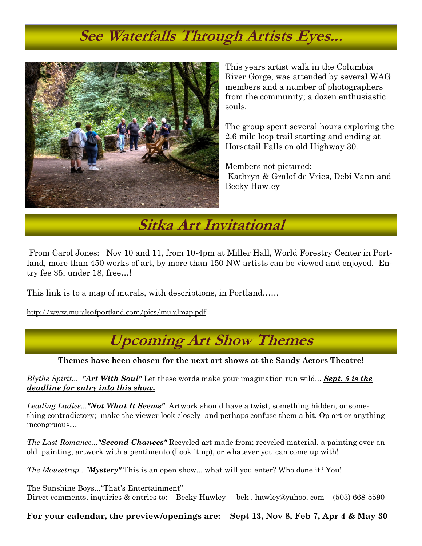### **See Waterfalls Through Artists Eyes...**



This years artist walk in the Columbia River Gorge, was attended by several WAG members and a number of photographers from the community; a dozen enthusiastic souls.

The group spent several hours exploring the 2.6 mile loop trail starting and ending at Horsetail Falls on old Highway 30.

Members not pictured: Kathryn & Gralof de Vries, Debi Vann and Becky Hawley

**Sitka Art Invitational**

From Carol Jones: Nov 10 and 11, from 10-4pm at Miller Hall, World Forestry Center in Portland, more than 450 works of art, by more than 150 NW artists can be viewed and enjoyed. Entry fee \$5, under 18, free…!

This link is to a map of murals, with descriptions, in Portland……

<http://www.muralsofportland.com/pics/muralmap.pdf>

## **Upcoming Art Show Themes**

**Themes have been chosen for the next art shows at the Sandy Actors Theatre!**

*Blythe Spirit... "Art With Soul"* Let these words make your imagination run wild... *Sept. 5 is the deadline for entry into this show.*

*Leading Ladies..."Not What It Seems"* Artwork should have a twist, something hidden, or something contradictory; make the viewer look closely and perhaps confuse them a bit. Op art or anything incongruous…

*The Last Romance..."Second Chances"* Recycled art made from; recycled material, a painting over an old painting, artwork with a pentimento (Look it up), or whatever you can come up with!

*The Mousetrap..."Mystery"* This is an open show... what will you enter? Who done it? You!

The Sunshine Boys..."That's Entertainment" Direct comments, inquiries & entries to: Becky Hawley bek . hawley@yahoo. com (503) 668-5590

**For your calendar, the preview/openings are: Sept 13, Nov 8, Feb 7, Apr 4 & May 30**